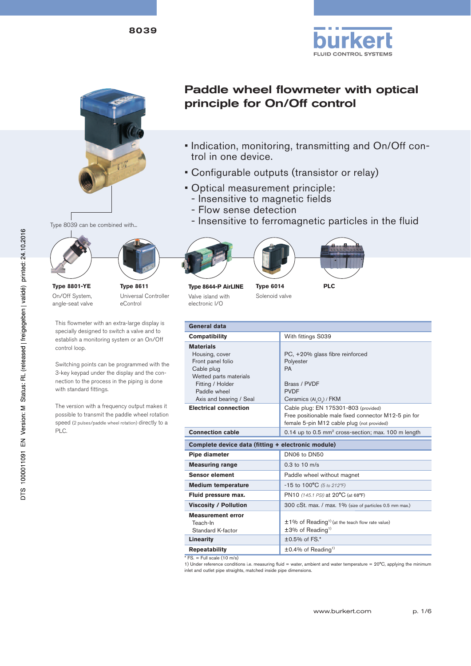



Paddle wheel flowmeter with optical principle for On/Off control

- Indication, monitoring, transmitting and On/Off control in one device.
- Configurable outputs (transistor or relay)
- Optical measurement principle:
	- Insensitive to magnetic fields
	- Flow sense detection
	- Insensitive to ferromagnetic particles in the fluid



Ī







**Type 8644-P AirLINE** Valve island with electronic I/O

**Type 6014** Solenoid valve

**PLC**

| General data                                                                                                                                                   |                                                                                                                                                           |
|----------------------------------------------------------------------------------------------------------------------------------------------------------------|-----------------------------------------------------------------------------------------------------------------------------------------------------------|
| Compatibility                                                                                                                                                  | With fittings S039                                                                                                                                        |
| <b>Materials</b><br>Housing, cover<br>Front panel folio<br>Cable plug<br>Wetted parts materials<br>Fitting / Holder<br>Paddle wheel<br>Axis and bearing / Seal | PC, +20% glass fibre reinforced<br>Polyester<br>PA<br>Brass / PVDF<br><b>PVDF</b><br>Ceramics (Al <sub>2</sub> O <sub>2</sub> ) / FKM                     |
| <b>Electrical connection</b>                                                                                                                                   | Cable plug: EN 175301-803 (provided)<br>Free positionable male fixed connector M12-5 pin for<br>female 5-pin M12 cable plug (not provided)                |
| <b>Connection cable</b>                                                                                                                                        | 0.14 up to 0.5 mm <sup>2</sup> cross-section; max. 100 m length                                                                                           |
| Complete device data (fitting + electronic module)                                                                                                             |                                                                                                                                                           |
| Pipe diameter                                                                                                                                                  | DN06 to DN50                                                                                                                                              |
| <b>Measuring range</b>                                                                                                                                         | $0.3$ to $10$ m/s                                                                                                                                         |
| <b>Sensor element</b>                                                                                                                                          | Paddle wheel without magnet                                                                                                                               |
| <b>Medium temperature</b>                                                                                                                                      | $-15$ to $100^{\circ}$ C (5 to 212 $^{\circ}$ F)                                                                                                          |
| Fluid pressure max.                                                                                                                                            | PN10 (145.1 PSI) at 20°C (at 68°F)                                                                                                                        |
| <b>Viscosity / Pollution</b>                                                                                                                                   | 300 cSt. max. / max. 1% (size of particles 0.5 mm max.)                                                                                                   |
| <b>Measurement error</b><br>Teach-In<br>Standard K-factor<br>Linearity<br><b>Repeatability</b>                                                                 | ±1% of Reading <sup>1)</sup> (at the teach flow rate value)<br>$±3%$ of Reading <sup>1)</sup><br>$±0.5\%$ of FS.*<br>$\pm 0.4\%$ of Reading <sup>1)</sup> |
| $F = Full scale (10 m/s)$                                                                                                                                      | $1)$ linder reference conditions i.e. measuring fluid = weter, embient and weter temperature = $20\%$ candidate the minimum                               |

1) Under reference conditions i.e. measuring fluid = water, ambient and water temperature =  $20^{\circ}$ C, applying the minimum inlet and outlet pipe straights, matched inside pipe dimensions.

Type 8039 can be combined with...

**Type 8801-YE** On/Off System, angle-seat valve



This flowmeter with an extra-large display is specially designed to switch a valve and to establish a monitoring system or an On/Off control loop.

Switching points can be programmed with the 3-key keypad under the display and the connection to the process in the piping is done with standard fittings.

The version with a frequency output makes it possible to transmit the paddle wheel rotation speed (2 pulses/paddle wheel rotation) directly to a PLC.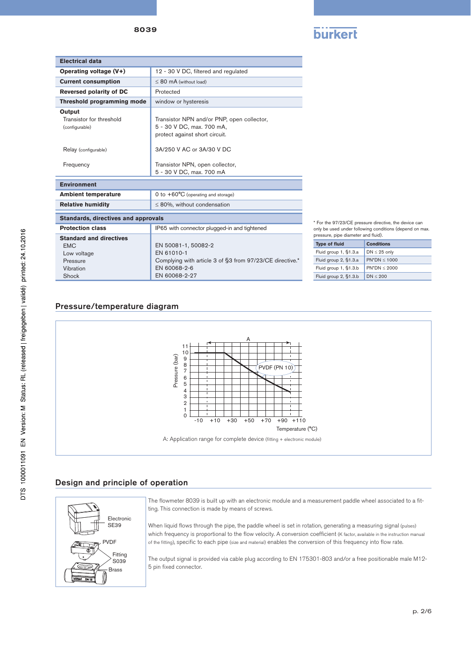

| <b>Electrical data</b>                                                                        |                                                                                                                                |
|-----------------------------------------------------------------------------------------------|--------------------------------------------------------------------------------------------------------------------------------|
| Operating voltage (V+)                                                                        | 12 - 30 V DC, filtered and regulated                                                                                           |
| <b>Current consumption</b>                                                                    | $\leq$ 80 mA (without load)                                                                                                    |
| <b>Reversed polarity of DC</b>                                                                | Protected                                                                                                                      |
| Threshold programming mode                                                                    | window or hysteresis                                                                                                           |
| Output<br>Transistor for threshold<br>(configurable)                                          | Transistor NPN and/or PNP, open collector,<br>5 - 30 V DC, max. 700 mA,<br>protect against short circuit.                      |
| Relay (configurable)                                                                          | 3A/250 V AC or 3A/30 V DC                                                                                                      |
| Frequency                                                                                     | Transistor NPN, open collector,<br>5 - 30 V DC, max. 700 mA                                                                    |
| <b>Environment</b>                                                                            |                                                                                                                                |
| <b>Ambient temperature</b>                                                                    | 0 to $+60^{\circ}$ C (operating and storage)                                                                                   |
| <b>Relative humidity</b>                                                                      | $\leq$ 80%, without condensation                                                                                               |
| <b>Standards, directives and approvals</b>                                                    |                                                                                                                                |
| <b>Protection class</b>                                                                       | IP65 with connector plugged-in and tightened                                                                                   |
| <b>Standard and directives</b><br><b>FMC</b><br>Low voltage<br>Pressure<br>Vibration<br>Shock | EN 50081-1, 50082-2<br>FN 61010-1<br>Complying with article 3 of §3 from 97/23/CE directive.*<br>EN 60068-2-6<br>EN 60068-2-27 |

\* For the 97/23/CE pressure directive, the device can only be used under following conditions (depend on max. .<br>ssure, pipe diameter and fluid).

| .                     |                   |  |  |  |  |  |
|-----------------------|-------------------|--|--|--|--|--|
| <b>Type of fluid</b>  | <b>Conditions</b> |  |  |  |  |  |
| Fluid group 1, §1.3.a | $DN \leq 25$ only |  |  |  |  |  |
| Fluid group 2, §1.3.a | $PN^*DN < 1000$   |  |  |  |  |  |
| Fluid group 1, §1.3.b | $PN^*DN < 2000$   |  |  |  |  |  |
| Fluid group 2, §1.3.b | DN < 200          |  |  |  |  |  |

# Pressure/temperature diagram



# Design and principle of operation



The flowmeter 8039 is built up with an electronic module and a measurement paddle wheel associated to a fitting. This connection is made by means of screws.

When liquid flows through the pipe, the paddle wheel is set in rotation, generating a measuring signal (pulses) which frequency is proportional to the flow velocity. A conversion coefficient (K factor, available in the instruction manual of the fitting), specific to each pipe (size and material) enables the conversion of this frequency into flow rate.

The output signal is provided via cable plug according to EN 175301-803 and/or a free positionable male M12- 5 pin fixed connector.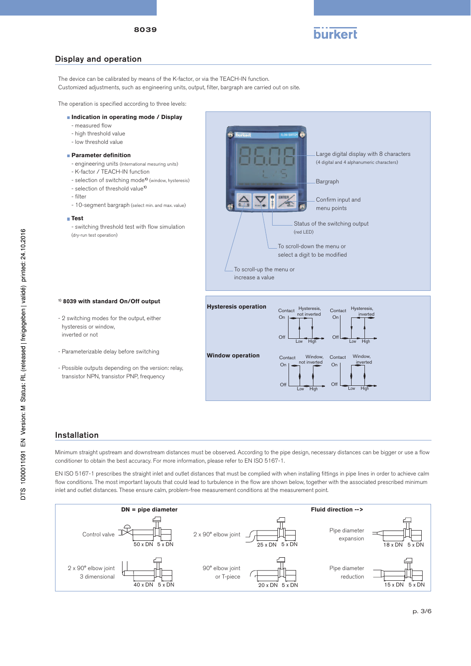

# Display and operation

The device can be calibrated by means of the K-factor, or via the TEACH-IN function.

Customized adjustments, such as engineering units, output, filter, bargraph are carried out on site.

The operation is specified according to three levels:

#### **Indication in operating mode / Display**

- measured flow
- high threshold value
- low threshold value

#### **Parameter definition**

- engineering units (International mesuring units)
- K-factor / TEACH-IN function
- selection of switching mode**1)** (window, hysteresis)
- selection of threshold value**1)**
- filter
- 10-segment bargraph (select min. and max. value)

#### **Test**

- switching threshold test with flow simulation (dry-run test operation)



#### **1) 8039 with standard On/Off output**

- 2 switching modes for the output, either hysteresis or window, inverted or not

- Parameterizable delay before switching

- Possible outputs depending on the version: relay, transistor NPN, transistor PNP, frequency



# Installation

Minimum straight upstream and downstream distances must be observed. According to the pipe design, necessary distances can be bigger or use a flow conditioner to obtain the best accuracy. For more information, please refer to EN ISO 5167-1.

EN ISO 5167-1 prescribes the straight inlet and outlet distances that must be complied with when installing fittings in pipe lines in order to achieve calm flow conditions. The most important layouts that could lead to turbulence in the flow are shown below, together with the associated prescribed minimum inlet and outlet distances. These ensure calm, problem-free measurement conditions at the measurement point.

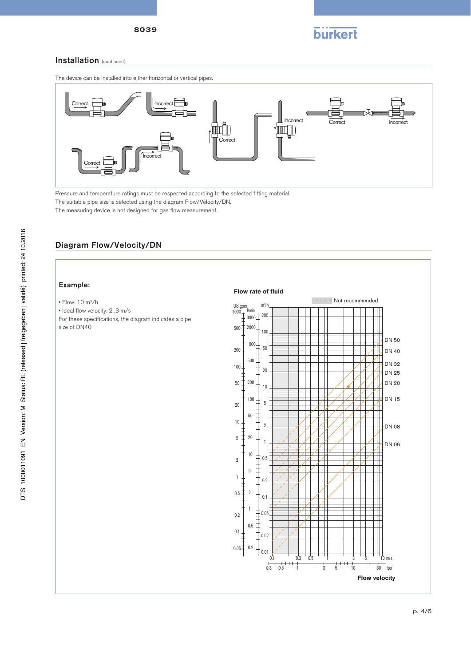

# Installation (continued)

The device can be installed into either horizontal or vertical pipes.



Pressure and temperature ratings must be respected according to the selected fitting material. The suitable pipe size is selected using the diagram Flow/Velocity/DN. The measuring device is not designed for gas flow measurement.

# Diagram Flow/Velocity/DN

### Example:

#### • Flow: 10 m3/h

• Ideal flow velocity: 2...3 m/s

For these specifications, the diagram indicates a pipe size of DN40

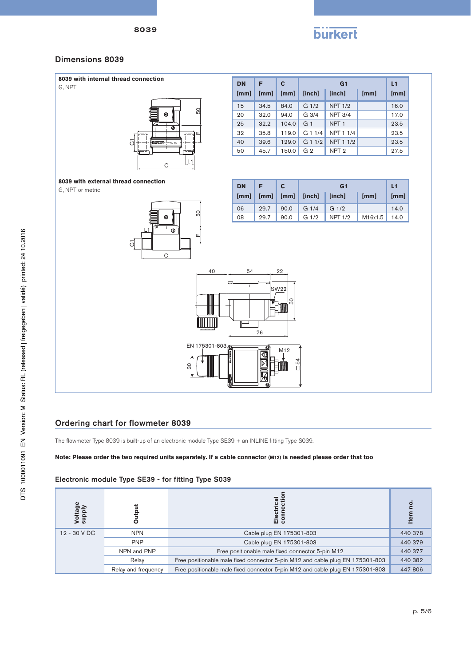

# Dimensions 8039



| <b>DN</b> | F    | C     |                  | L1               |      |      |  |
|-----------|------|-------|------------------|------------------|------|------|--|
| [mm]      | [mm] | [mm]  | <b>linchl</b>    | <b>linchl</b>    | [mm] | [mm] |  |
| 15        | 34.5 | 84.0  | G <sub>1/2</sub> | <b>NPT 1/2</b>   |      | 16.0 |  |
| 20        | 32.0 | 94.0  | G <sub>3/4</sub> | <b>NPT 3/4</b>   |      | 17.0 |  |
| 25        | 32.2 | 104.0 | G <sub>1</sub>   | NPT <sub>1</sub> |      | 23.5 |  |
| 32        | 35.8 | 119.0 | G11/4            | NPT 1 1/4        |      | 23.5 |  |
| 40        | 39.6 | 129.0 | $G$ 1 1/2        | NPT 1 1/2        |      | 23.5 |  |
| 50        | 45.7 | 150.0 | G <sub>2</sub>   | NPT <sub>2</sub> |      | 27.5 |  |

# **8039 with external thread connection**

**G, NPT or metric** 



| <b>DN</b> |      |                                                           |                  | L1               |         |      |
|-----------|------|-----------------------------------------------------------|------------------|------------------|---------|------|
| [mm]      | [mm] | $\lceil \mathsf{mm} \rceil$ $\lceil \mathsf{inch} \rceil$ |                  | [inch]           | [mm]    | [mm] |
| 06        | 29.7 |                                                           | 90.0 G $1/4$     | G <sub>1/2</sub> |         | 14.0 |
| 08        | 29.7 | 90.0                                                      | G <sub>1/2</sub> | <b>NPT 1/2</b>   | M16x1.5 | 14.0 |



# Ordering chart for flowmeter 8039

The flowmeter Type 8039 is built-up of an electronic module Type SE39 + an INLINE fitting Type S039.

## **Note: Please order the two required units separately. If a cable connector (M12) is needed please order that too**

# Electronic module Type SE39 - for fitting Type S039

| <b>Voltage</b><br>supply |                     | ctrical<br>$rac{e}{10}$ $rac{5}{10}$                                          | <u>o</u> |
|--------------------------|---------------------|-------------------------------------------------------------------------------|----------|
| 12 - 30 V DC             | <b>NPN</b>          | Cable plug EN 175301-803                                                      | 440 378  |
|                          | <b>PNP</b>          | Cable plug EN 175301-803                                                      | 440 379  |
|                          | NPN and PNP         | Free positionable male fixed connector 5-pin M12                              | 440 377  |
|                          | Relay               | Free positionable male fixed connector 5-pin M12 and cable plug EN 175301-803 | 440 382  |
|                          | Relay and frequency | Free positionable male fixed connector 5-pin M12 and cable plug EN 175301-803 | 447806   |